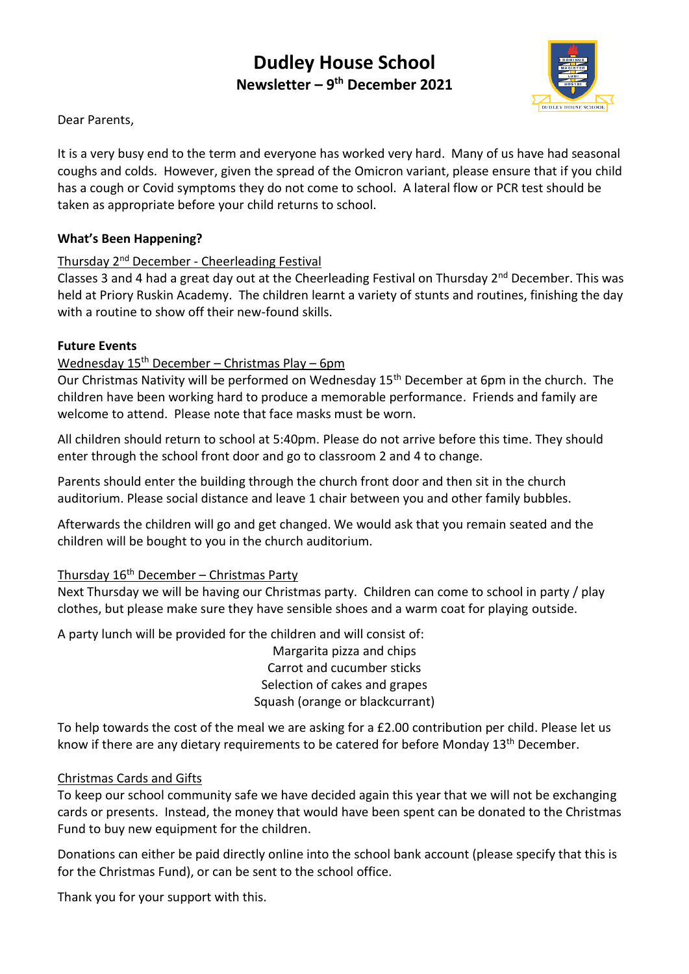# **Dudley House School Newsletter – 9 th December 2021**



Dear Parents,

It is a very busy end to the term and everyone has worked very hard. Many of us have had seasonal coughs and colds. However, given the spread of the Omicron variant, please ensure that if you child has a cough or Covid symptoms they do not come to school. A lateral flow or PCR test should be taken as appropriate before your child returns to school.

#### **What's Been Happening?**

#### Thursday 2nd December - Cheerleading Festival

Classes 3 and 4 had a great day out at the Cheerleading Festival on Thursday  $2^{nd}$  December. This was held at Priory Ruskin Academy. The children learnt a variety of stunts and routines, finishing the day with a routine to show off their new-found skills.

#### **Future Events**

#### Wednesday  $15<sup>th</sup>$  December – Christmas Play – 6pm

Our Christmas Nativity will be performed on Wednesday 15<sup>th</sup> December at 6pm in the church. The children have been working hard to produce a memorable performance. Friends and family are welcome to attend. Please note that face masks must be worn.

All children should return to school at 5:40pm. Please do not arrive before this time. They should enter through the school front door and go to classroom 2 and 4 to change.

Parents should enter the building through the church front door and then sit in the church auditorium. Please social distance and leave 1 chair between you and other family bubbles.

Afterwards the children will go and get changed. We would ask that you remain seated and the children will be bought to you in the church auditorium.

#### Thursday 16th December – Christmas Party

Next Thursday we will be having our Christmas party. Children can come to school in party / play clothes, but please make sure they have sensible shoes and a warm coat for playing outside.

A party lunch will be provided for the children and will consist of:

Margarita pizza and chips Carrot and cucumber sticks Selection of cakes and grapes Squash (orange or blackcurrant)

To help towards the cost of the meal we are asking for a £2.00 contribution per child. Please let us know if there are any dietary requirements to be catered for before Monday 13<sup>th</sup> December.

#### Christmas Cards and Gifts

To keep our school community safe we have decided again this year that we will not be exchanging cards or presents. Instead, the money that would have been spent can be donated to the Christmas Fund to buy new equipment for the children.

Donations can either be paid directly online into the school bank account (please specify that this is for the Christmas Fund), or can be sent to the school office.

Thank you for your support with this.